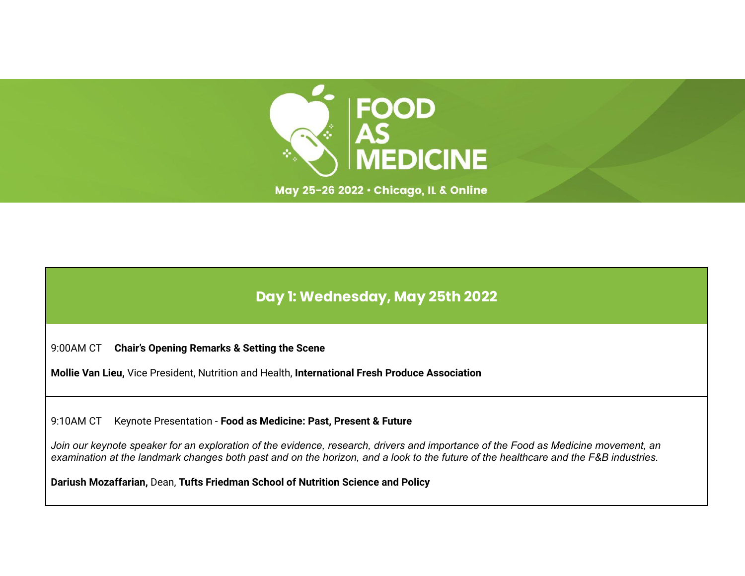

May 25-26 2022 · Chicago, IL & Online

## **Day 1: Wednesday, May 25th 2022**

9:00AM CT **Chair's Opening Remarks & Setting the Scene**

**Mollie Van Lieu,** Vice President, Nutrition and Health, **International Fresh Produce Association**

9:10AM CT Keynote Presentation - **Food as Medicine: Past, Present & Future**

Join our keynote speaker for an exploration of the evidence, research, drivers and importance of the Food as Medicine movement, an examination at the landmark changes both past and on the horizon, and a look to the future of the healthcare and the F&B industries.

**Dariush Mozaffarian,** Dean, **Tufts Friedman School of Nutrition Science and Policy**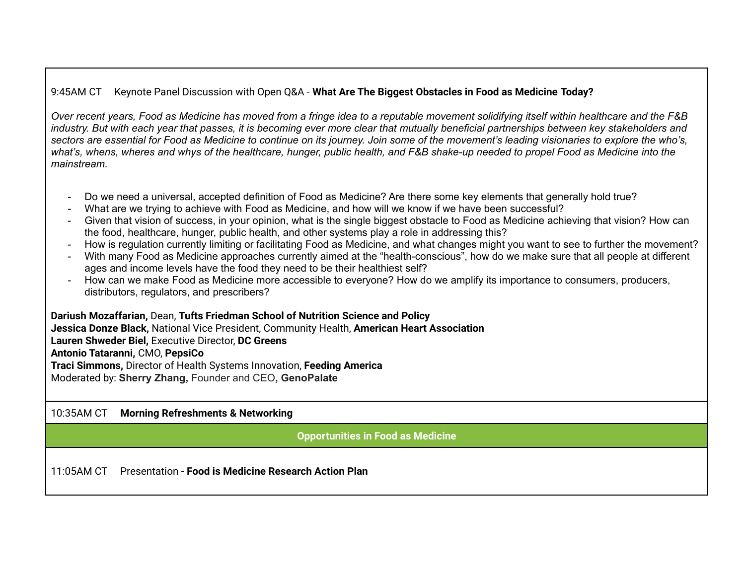## 9:45AM CT Keynote Panel Discussion with Open Q&A - **What Are The Biggest Obstacles in Food as Medicine Today?**

Over recent years, Food as Medicine has moved from a fringe idea to a reputable movement solidifying itself within healthcare and the F&B industry. But with each year that passes, it is becoming ever more clear that mutually beneficial partnerships between key stakeholders and sectors are essential for Food as Medicine to continue on its journey. Join some of the movement's leading visionaries to explore the who's, what's, whens, wheres and whys of the healthcare, hunger, public health, and F&B shake-up needed to propel Food as Medicine into the *mainstream.*

- Do we need a universal, accepted definition of Food as Medicine? Are there some key elements that generally hold true?
- What are we trying to achieve with Food as Medicine, and how will we know if we have been successful?
- Given that vision of success, in your opinion, what is the single biggest obstacle to Food as Medicine achieving that vision? How can the food, healthcare, hunger, public health, and other systems play a role in addressing this?
- How is regulation currently limiting or facilitating Food as Medicine, and what changes might you want to see to further the movement?
- With many Food as Medicine approaches currently aimed at the "health-conscious", how do we make sure that all people at different ages and income levels have the food they need to be their healthiest self?
- How can we make Food as Medicine more accessible to everyone? How do we amplify its importance to consumers, producers, distributors, regulators, and prescribers?

**Dariush Mozaffarian,** Dean, **Tufts Friedman School of Nutrition Science and Policy Jessica Donze Black,** National Vice President, Community Health, **American Heart Association**

**Lauren Shweder Biel,** Executive Director, **DC Greens**

#### **Antonio Tataranni,** CMO, **PepsiCo**

**Traci Simmons,** Director of Health Systems Innovation, **Feeding America** Moderated by: **Sherry Zhang,** Founder and CEO**, GenoPalate**

#### 10:35AM CT **Morning Refreshments & Networking**

**Opportunities in Food as Medicine**

11:05AM CT Presentation - **Food is Medicine Research Action Plan**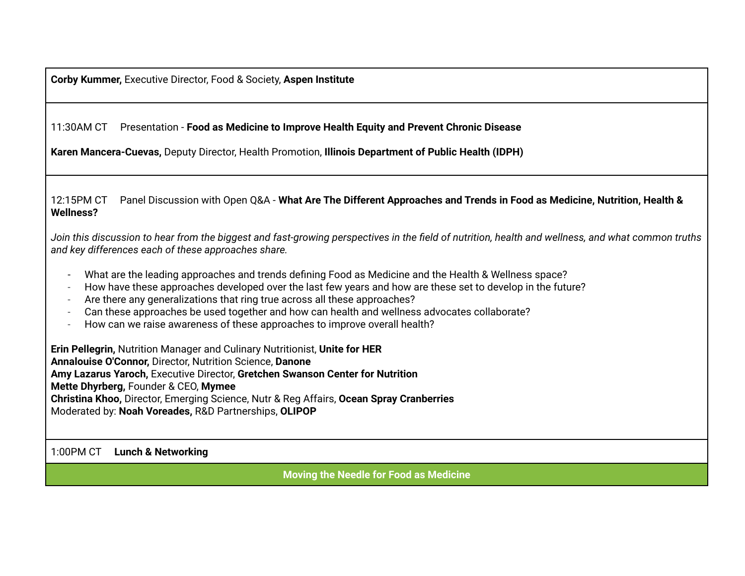**Corby Kummer,** Executive Director, Food & Society, **Aspen Institute**

11:30AM CT Presentation - **Food as Medicine to Improve Health Equity and Prevent Chronic Disease**

**Karen Mancera-Cuevas,** Deputy Director, Health Promotion, **Illinois [Department](https://www.linkedin.com/company/il-department-of-public-health/) of Public Health (IDPH)**

#### 12:15PM CT Panel Discussion with Open Q&A - What Are The Different Approaches and Trends in Food as Medicine, Nutrition, Health & **Wellness?**

Join this discussion to hear from the biggest and fast-growing perspectives in the field of nutrition, health and wellness, and what common truths *and key differences each of these approaches share.*

- What are the leading approaches and trends defining Food as Medicine and the Health & Wellness space?
- How have these approaches developed over the last few years and how are these set to develop in the future?
- Are there any generalizations that ring true across all these approaches?
- Can these approaches be used together and how can health and wellness advocates collaborate?
- How can we raise awareness of these approaches to improve overall health?

**Erin Pellegrin,** Nutrition Manager and Culinary Nutritionist, **Unite for HER Annalouise O'Connor,** Director, Nutrition Science, **Danone Amy Lazarus Yaroch,** Executive Director, **Gretchen Swanson Center for Nutrition Mette Dhyrberg,** Founder & CEO, **Mymee Christina Khoo,** Director, Emerging Science, Nutr & Reg Affairs, **Ocean Spray Cranberries** Moderated by: **Noah Voreades,** R&D Partnerships, **OLIPOP**

1:00PM CT **Lunch & Networking**

**Moving the Needle for Food as Medicine**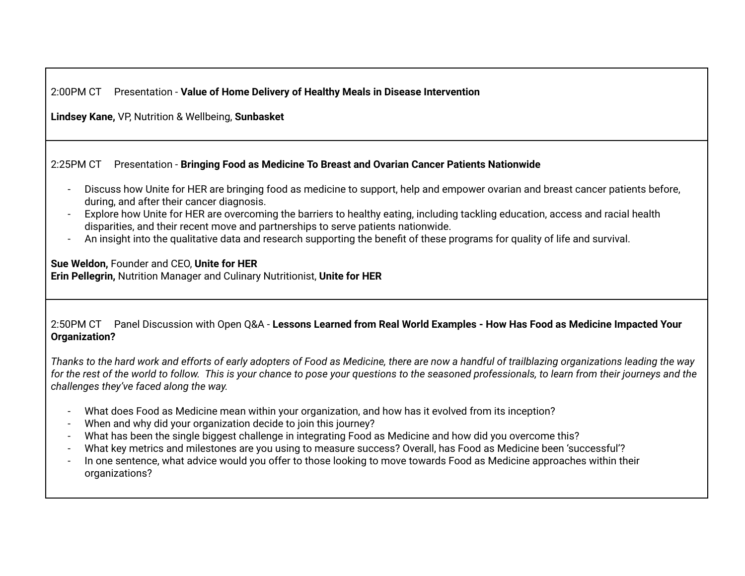## 2:00PM CT Presentation - **Value of Home Delivery of Healthy Meals in Disease Intervention**

**Lindsey Kane,** VP, Nutrition & Wellbeing, **Sunbasket**

### 2:25PM CT Presentation - **Bringing Food as Medicine To Breast and Ovarian Cancer Patients Nationwide**

- Discuss how Unite for HER are bringing food as medicine to support, help and empower ovarian and breast cancer patients before, during, and after their cancer diagnosis.
- Explore how Unite for HER are overcoming the barriers to healthy eating, including tackling education, access and racial health disparities, and their recent move and partnerships to serve patients nationwide.
- An insight into the qualitative data and research supporting the benefit of these programs for quality of life and survival.

**Sue Weldon,** Founder and CEO, **Unite for HER Erin Pellegrin,** Nutrition Manager and Culinary Nutritionist, **Unite for HER**

#### 2:50PM CT Panel Discussion with Open Q&A - **Lessons Learned from Real World Examples - How Has Food as Medicine Impacted Your Organization?**

Thanks to the hard work and efforts of early adopters of Food as Medicine, there are now a handful of trailblazing organizations leading the way for the rest of the world to follow. This is your chance to pose your questions to the seasoned professionals, to learn from their journeys and the *challenges they've faced along the way.*

- What does Food as Medicine mean within your organization, and how has it evolved from its inception?
- When and why did your organization decide to join this journey?
- What has been the single biggest challenge in integrating Food as Medicine and how did you overcome this?
- What key metrics and milestones are you using to measure success? Overall, has Food as Medicine been 'successful'?
- In one sentence, what advice would you offer to those looking to move towards Food as Medicine approaches within their organizations?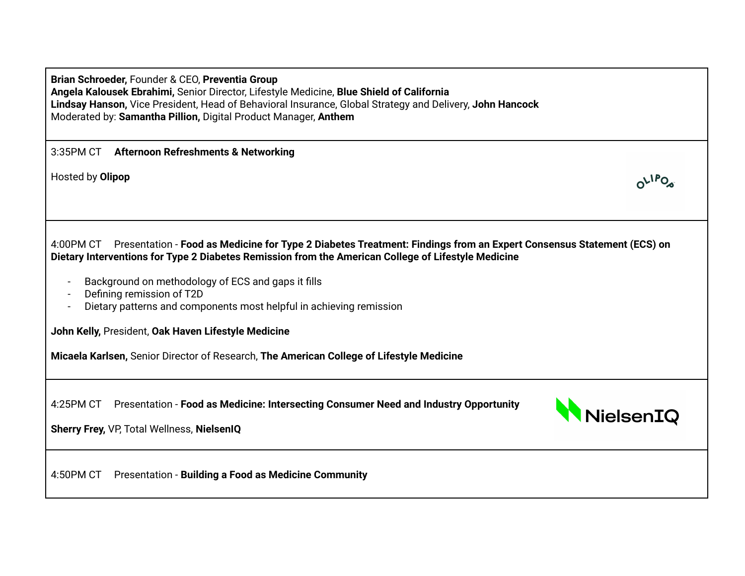| Brian Schroeder, Founder & CEO, Preventia Group                                                          |
|----------------------------------------------------------------------------------------------------------|
| Angela Kalousek Ebrahimi, Senior Director, Lifestyle Medicine, Blue Shield of California                 |
| Lindsay Hanson, Vice President, Head of Behavioral Insurance, Global Strategy and Delivery, John Hancock |
| Moderated by: Samantha Pillion, Digital Product Manager, Anthem                                          |

| 3:35PM CT | <b>Afternoon Refreshments &amp; Networking</b> |
|-----------|------------------------------------------------|
|-----------|------------------------------------------------|

Hosted by **Olipop**

| 4:00PM CT Presentation - Food as Medicine for Type 2 Diabetes Treatment: Findings from an Expert Consensus Statement (ECS) on |
|-------------------------------------------------------------------------------------------------------------------------------|
| Dietary Interventions for Type 2 Diabetes Remission from the American College of Lifestyle Medicine                           |

- Background on methodology of ECS and gaps it fills
- Defining remission of T2D
- Dietary patterns and components most helpful in achieving remission

**John Kelly,** President, **Oak Haven Lifestyle Medicine**

**Micaela Karlsen,** Senior Director of Research, **The American College of Lifestyle Medicine**

4:25PM CT Presentation - **Food as Medicine: Intersecting Consumer Need and Industry Opportunity**



 $O^{1PQ}$ 

**Sherry Frey,** VP, Total Wellness, **NielsenIQ**

4:50PM CT Presentation - **Building a Food as Medicine Community**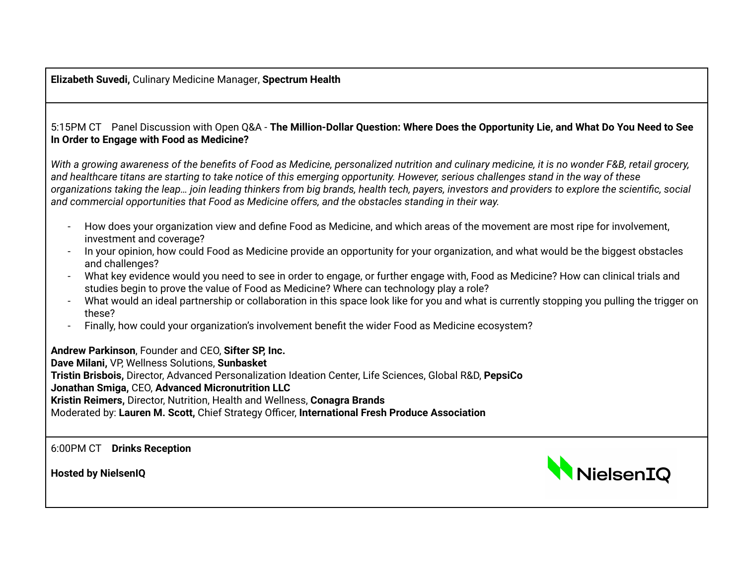**Elizabeth Suvedi,** Culinary Medicine Manager, **[Spectrum](https://www.linkedin.com/company/spectrum-health/) Health**

#### 5:15PM CT Panel Discussion with Open Q&A - The Million-Dollar Question: Where Does the Opportunity Lie, and What Do You Need to See **In Order to Engage with Food as Medicine?**

With a growing awareness of the benefits of Food as Medicine, personalized nutrition and culinary medicine, it is no wonder F&B, retail grocery, and healthcare titans are starting to take notice of this emerging opportunity. However, serious challenges stand in the way of these organizations taking the leap... join leading thinkers from big brands, health tech, payers, investors and providers to explore the scientific, social *and commercial opportunities that Food as Medicine offers, and the obstacles standing in their way.*

- How does your organization view and define Food as Medicine, and which areas of the movement are most ripe for involvement, investment and coverage?
- In your opinion, how could Food as Medicine provide an opportunity for your organization, and what would be the biggest obstacles and challenges?
- What key evidence would you need to see in order to engage, or further engage with, Food as Medicine? How can clinical trials and studies begin to prove the value of Food as Medicine? Where can technology play a role?
- What would an ideal partnership or collaboration in this space look like for you and what is currently stopping you pulling the trigger on these?
- Finally, how could your organization's involvement benefit the wider Food as Medicine ecosystem?

**Andrew Parkinson**, Founder and CEO, **Sifter SP, Inc.**

**Dave Milani,** VP, Wellness Solutions, **Sunbasket Tristin Brisbois,** Director, Advanced Personalization Ideation Center, Life Sciences, Global R&D, **PepsiCo Jonathan Smiga,** CEO, **Advanced Micronutrition LLC Kristin Reimers,** Director, Nutrition, Health and Wellness, **Conagra Brands** Moderated by: **Lauren M. Scott,** Chief Strategy Officer, **International Fresh Produce Association**

6:00PM CT **Drinks Reception**

**Hosted by NielsenIQ**

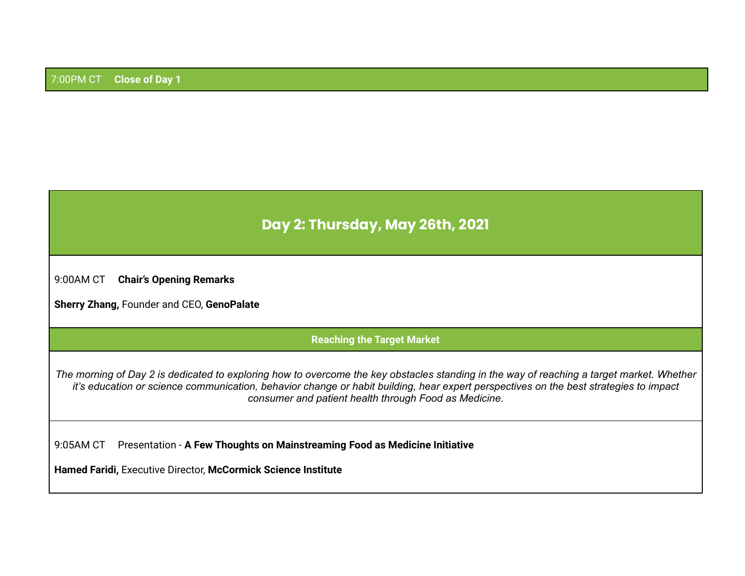# **Day 2: Thursday, May 26th, 2021**

9:00AM CT **Chair's Opening Remarks**

**Sherry Zhang,** Founder and CEO, **GenoPalate**

#### **Reaching the Target Market**

The morning of Day 2 is dedicated to exploring how to overcome the key obstacles standing in the way of reaching a target market. Whether it's education or science communication, behavior change or habit building, hear expert perspectives on the best strategies to impact *consumer and patient health through Food as Medicine.*

9:05AM CT Presentation - **A Few Thoughts on Mainstreaming Food as Medicine Initiative**

**Hamed Faridi,** Executive Director, **McCormick Science Institute**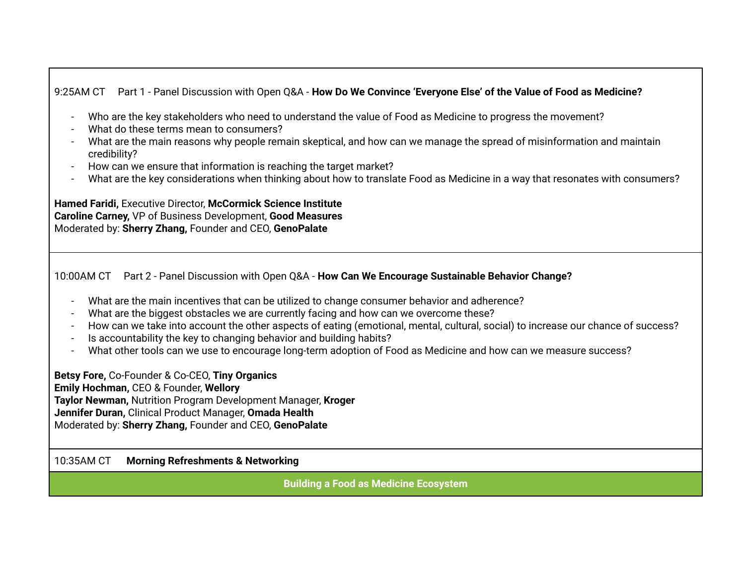## 9:25AM CT Part 1 - Panel Discussion with Open Q&A - **How Do We Convince 'Everyone Else' of the Value of Food as Medicine?**

- Who are the key stakeholders who need to understand the value of Food as Medicine to progress the movement?
- What do these terms mean to consumers?
- What are the main reasons why people remain skeptical, and how can we manage the spread of misinformation and maintain credibility?
- How can we ensure that information is reaching the target market?
- What are the key considerations when thinking about how to translate Food as Medicine in a way that resonates with consumers?

**Hamed Faridi,** Executive Director, **McCormick Science Institute Caroline Carney,** VP of Business Development, **Good Measures** Moderated by: **Sherry Zhang,** Founder and CEO, **GenoPalate**

10:00AM CT Part 2 - Panel Discussion with Open Q&A - **How Can We Encourage Sustainable Behavior Change?**

- What are the main incentives that can be utilized to change consumer behavior and adherence?
- What are the biggest obstacles we are currently facing and how can we overcome these?
- How can we take into account the other aspects of eating (emotional, mental, cultural, social) to increase our chance of success?
- Is accountability the key to changing behavior and building habits?
- What other tools can we use to encourage long-term adoption of Food as Medicine and how can we measure success?

**Betsy Fore,** Co-Founder & Co-CEO, **Tiny Organics Emily Hochman,** CEO & Founder, **Wellory Taylor Newman,** Nutrition Program Development Manager, **Kroger Jennifer Duran,** Clinical Product Manager, **Omada Health** Moderated by: **Sherry Zhang,** Founder and CEO, **GenoPalate**

#### 10:35AM CT **Morning Refreshments & Networking**

**Building a Food as Medicine Ecosystem**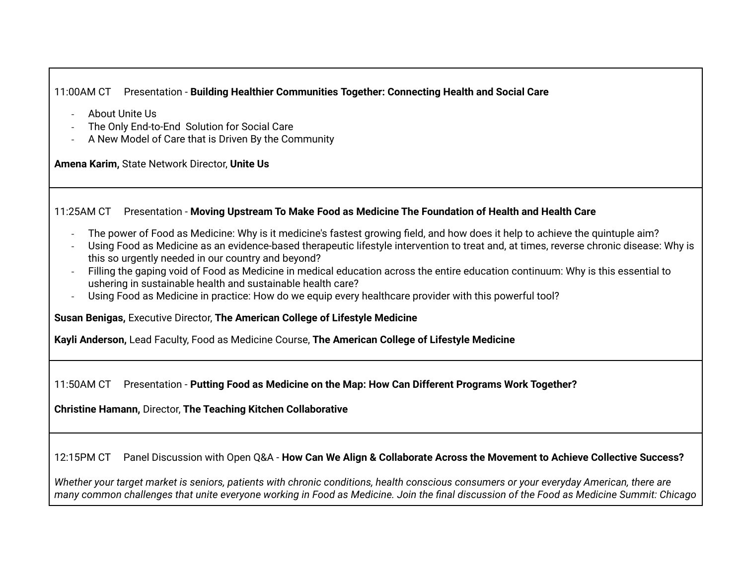## 11:00AM CT Presentation - **Building Healthier Communities Together: Connecting Health and Social Care**

- About Unite Us
- The Only End-to-End Solution for Social Care
- A New Model of Care that is Driven By the Community

**Amena Karim,** State Network Director, **Unite Us**

#### 11:25AM CT Presentation - **Moving Upstream To Make Food as Medicine The Foundation of Health and Health Care**

- The power of Food as Medicine: Why is it medicine's fastest growing field, and how does it help to achieve the quintuple aim?
- Using Food as Medicine as an evidence-based therapeutic lifestyle intervention to treat and, at times, reverse chronic disease: Why is this so urgently needed in our country and beyond?
- Filling the gaping void of Food as Medicine in medical education across the entire education continuum: Why is this essential to ushering in sustainable health and sustainable health care?
- Using Food as Medicine in practice: How do we equip every healthcare provider with this powerful tool?

**Susan Benigas,** Executive Director, **The American College of Lifestyle Medicine**

**Kayli Anderson,** Lead Faculty, Food as Medicine Course, **The American College of Lifestyle Medicine**

11:50AM CT Presentation - **Putting Food as Medicine on the Map: How Can Different Programs Work Together?**

**Christine Hamann,** Director, **The Teaching Kitchen Collaborative**

12:15PM CT Panel Discussion with Open Q&A - **How Can We Align & Collaborate Across the Movement to Achieve Collective Success?**

Whether your target market is seniors, patients with chronic conditions, health conscious consumers or your everyday American, there are many common challenges that unite everyone working in Food as Medicine. Join the final discussion of the Food as Medicine Summit: Chicago